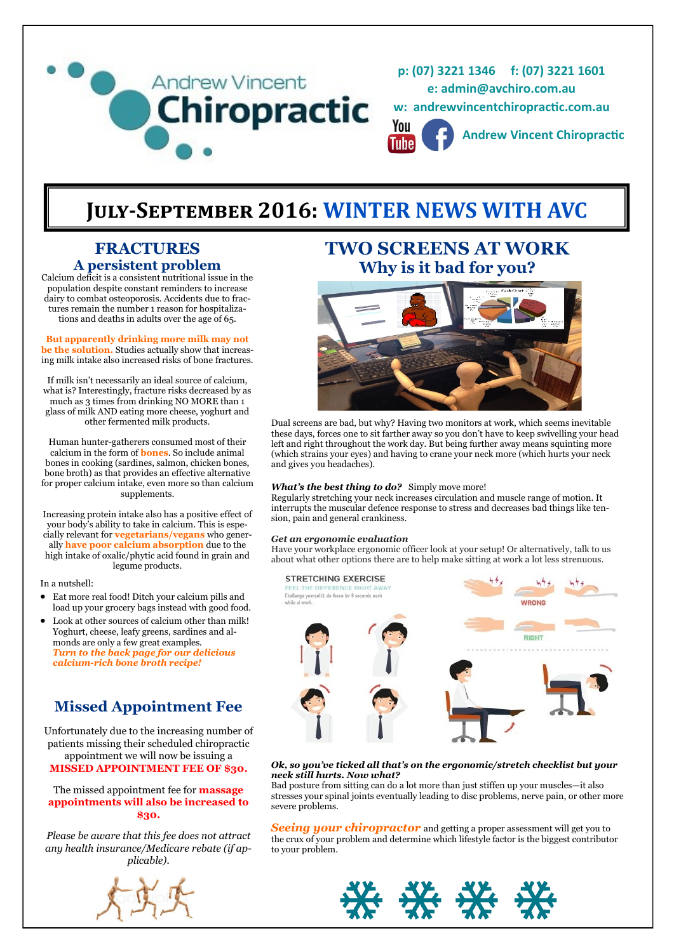

# **July-September 2016: WINTER NEWS WITH AVC**

# **FRACTURES A persistent problem**

Calcium deficit is a consistent nutritional issue in the population despite constant reminders to increase dairy to combat osteoporosis. Accidents due to fractures remain the number 1 reason for hospitalizations and deaths in adults over the age of 65.

#### **But apparently drinking more milk may not be the solution.** Studies actually show that increasing milk intake also increased risks of bone fractures.

If milk isn't necessarily an ideal source of calcium, what is? Interestingly, fracture risks decreased by as much as 3 times from drinking NO MORE than 1 glass of milk AND eating more cheese, yoghurt and other fermented milk products.

Human hunter-gatherers consumed most of their calcium in the form of **bones**. So include animal bones in cooking (sardines, salmon, chicken bones, bone broth) as that provides an effective alternative for proper calcium intake, even more so than calcium supplements.

Increasing protein intake also has a positive effect of your body's ability to take in calcium. This is especially relevant for **vegetarians/vegans** who generally **have poor calcium absorption** due to the high intake of oxalic/phytic acid found in grain and legume products.

In a nutshell:

- Eat more real food! Ditch your calcium pills and load up your grocery bags instead with good food.
- Look at other sources of calcium other than milk! Yoghurt, cheese, leafy greens, sardines and almonds are only a few great examples. *Turn to the back page for our delicious calcium-rich bone broth recipe!*

# **Missed Appointment Fee**

Unfortunately due to the increasing number of patients missing their scheduled chiropractic appointment we will now be issuing a **MISSED APPOINTMENT FEE OF \$30.**

### The missed appointment fee for **massage appointments will also be increased to \$30.**

*Please be aware that this fee does not attract any health insurance/Medicare rebate (if applicable).*



# **TWO SCREENS AT WORK Why is it bad for you?**



Dual screens are bad, but why? Having two monitors at work, which seems inevitable these days, forces one to sit farther away so you don't have to keep swivelling your head left and right throughout the work day. But being further away means squinting more (which strains your eyes) and having to crane your neck more (which hurts your neck and gives you headaches).

### *What's the best thing to do?* Simply move more!

Regularly stretching your neck increases circulation and muscle range of motion. It interrupts the muscular defence response to stress and decreases bad things like tension, pain and general crankiness.

#### *Get an ergonomic evaluation*

Have your workplace ergonomic officer look at your setup! Or alternatively, talk to us about what other options there are to help make sitting at work a lot less strenuous.



#### *Ok, so you've ticked all that's on the ergonomic/stretch checklist but your neck still hurts. Now what?*

Bad posture from sitting can do a lot more than just stiffen up your muscles—it also stresses your spinal joints eventually leading to disc problems, nerve pain, or other more severe problems.

*Seeing your chiropractor* and getting a proper assessment will get you to the crux of your problem and determine which lifestyle factor is the biggest contributor to your problem.